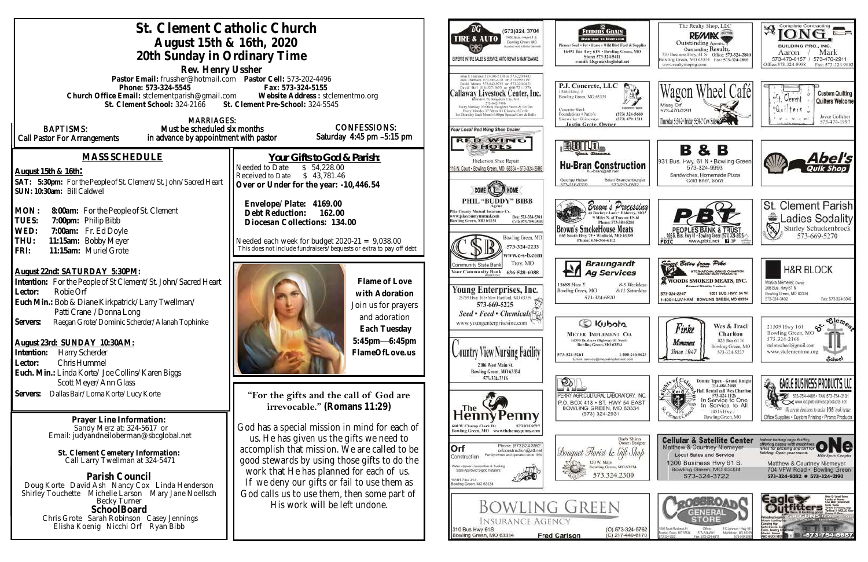